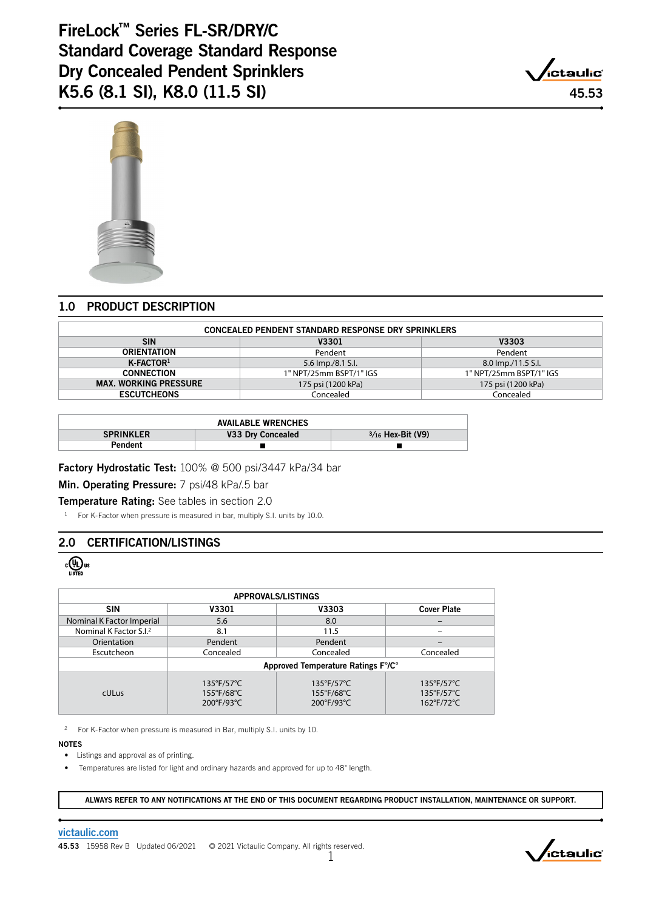FireLock™ Series FL-SR/DRY/C Standard Coverage Standard Response Dry Concealed Pendent Sprinklers K5.6 (8.1 SI), K8.0 (11.5 SI) 45.53





# 1.0 PRODUCT DESCRIPTION

| <b>CONCEALED PENDENT STANDARD RESPONSE DRY SPRINKLERS</b> |                                                    |                    |  |  |
|-----------------------------------------------------------|----------------------------------------------------|--------------------|--|--|
| <b>SIN</b>                                                | V3301                                              | V3303              |  |  |
| <b>ORIENTATION</b>                                        | Pendent                                            | Pendent            |  |  |
| $K$ -FACTOR <sup>1</sup>                                  | 5.6 lmp./8.1 S.l.                                  | 8.0 lmp./11.5 S.l. |  |  |
| <b>CONNECTION</b>                                         | 1" NPT/25mm BSPT/1" IGS<br>1" NPT/25mm BSPT/1" IGS |                    |  |  |
| <b>MAX. WORKING PRESSURE</b>                              | 175 psi (1200 kPa)                                 | 175 psi (1200 kPa) |  |  |
| <b>ESCUTCHEONS</b>                                        | Concealed                                          | Concealed          |  |  |

| <b>AVAILABLE WRENCHES</b> |                   |                     |  |  |
|---------------------------|-------------------|---------------------|--|--|
| <b>SPRINKLER</b>          | V33 Dry Concealed | $3/16$ Hex-Bit (V9) |  |  |
| Pendent                   |                   |                     |  |  |

Factory Hydrostatic Test: 100% @ 500 psi/3447 kPa/34 bar

Min. Operating Pressure: 7 psi/48 kPa/.5 bar

Temperature Rating: See tables in section 2.0

<sup>1</sup> For K-Factor when pressure is measured in bar, multiply S.I. units by 10.0.

# 2.0 CERTIFICATION/LISTINGS

 $\frac{1}{\sqrt{15}}$ us

| <b>APPROVALS/LISTINGS</b>          |                                                             |                                                        |                                                        |  |  |
|------------------------------------|-------------------------------------------------------------|--------------------------------------------------------|--------------------------------------------------------|--|--|
| <b>SIN</b>                         | <b>V3301</b>                                                | V3303                                                  | <b>Cover Plate</b>                                     |  |  |
| Nominal K Factor Imperial          | 5.6                                                         | 8.0                                                    |                                                        |  |  |
| Nominal K Factor S.I. <sup>2</sup> | 8.1                                                         | 11.5                                                   |                                                        |  |  |
| Orientation                        | Pendent                                                     | Pendent                                                |                                                        |  |  |
| Escutcheon                         | Concealed                                                   | Concealed                                              | Concealed                                              |  |  |
|                                    | Approved Temperature Ratings F%C°                           |                                                        |                                                        |  |  |
| <b>cULus</b>                       | $135^{\circ}$ F/57 $^{\circ}$ C<br>155°F/68°C<br>200°F/93°C | $135^{\circ}F/57^{\circ}C$<br>155°F/68°C<br>200°F/93°C | $135^{\circ}F/57^{\circ}C$<br>135°F/57°C<br>162°F/72°C |  |  |

2 For K-Factor when pressure is measured in Bar, multiply S.I. units by 10.

NOTES

• Listings and approval as of printing.

• Temperatures are listed for light and ordinary hazards and approved for up to 48" length.

ALWAYS REFER TO ANY NOTIFICATIONS AT THE END OF THIS DOCUMENT REGARDING PRODUCT INSTALLATION, MAINTENANCE OR SUPPORT.

[victaulic.com](https://www.victaulic.com/)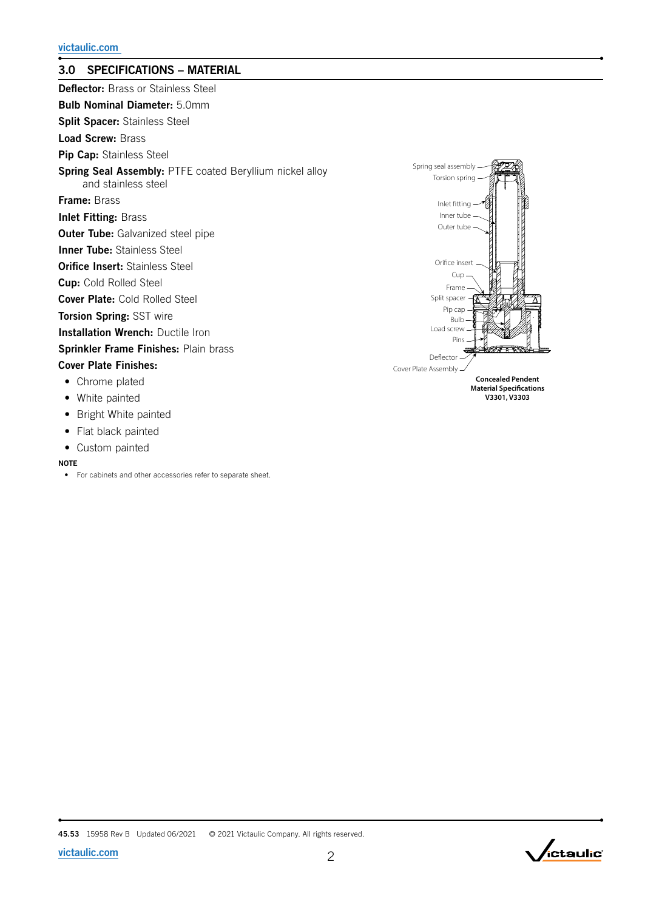# 3.0 SPECIFICATIONS – MATERIAL

| <b>Deflector:</b> Brass or Stainless Steel                                      |
|---------------------------------------------------------------------------------|
| <b>Bulb Nominal Diameter:</b> 5.0mm                                             |
| <b>Split Spacer:</b> Stainless Steel                                            |
| <b>Load Screw: Brass</b>                                                        |
| Pip Cap: Stainless Steel                                                        |
| Spring Seal Assembly: PTFE coated Beryllium nickel alloy<br>and stainless steel |
| <b>Frame: Brass</b>                                                             |
| <b>Inlet Fitting: Brass</b>                                                     |
| <b>Outer Tube:</b> Galvanized steel pipe                                        |
| <b>Inner Tube: Stainless Steel</b>                                              |
| <b>Orifice Insert:</b> Stainless Steel                                          |
| <b>Cup:</b> Cold Rolled Steel                                                   |
| <b>Cover Plate:</b> Cold Rolled Steel                                           |
| <b>Torsion Spring: SST wire</b>                                                 |
| <b>Installation Wrench: Ductile Iron</b>                                        |
| Sprinkler Frame Finishes: Plain brass                                           |
| <b>Cover Plate Finishes:</b>                                                    |
| • Chrome plated                                                                 |
| • White painted                                                                 |
| • Bright White painted                                                          |
| • Flat black painted                                                            |

• Custom painted

## NOTE

• For cabinets and other accessories refer to separate sheet.



**Material Specifications V3301, V3303**

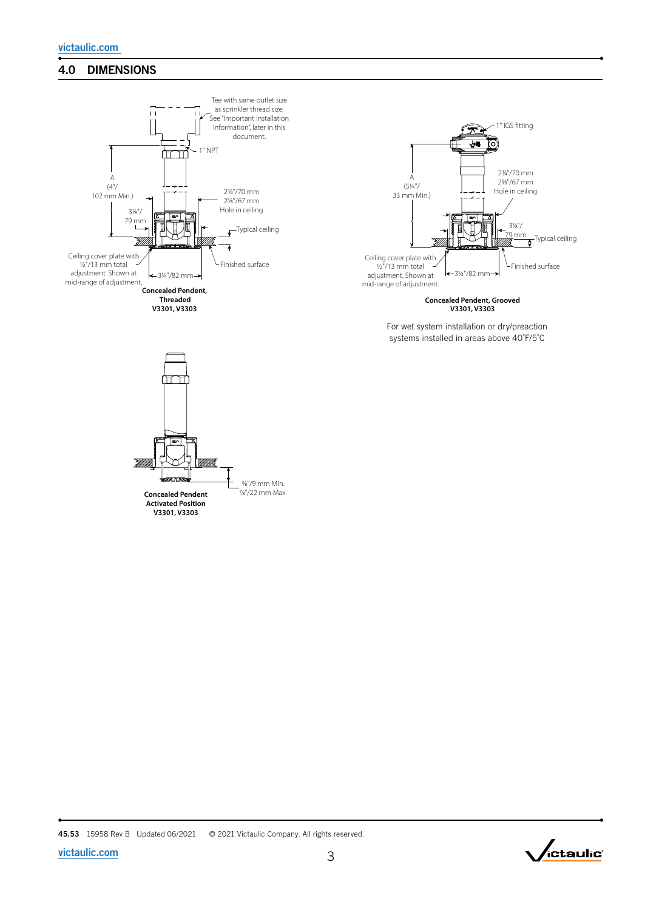# 4.0 DIMENSIONS





**Concealed Pendent, Grooved V3301, V3303**

For wet system installation or dry/preaction systems installed in areas above 40˚F/5˚C